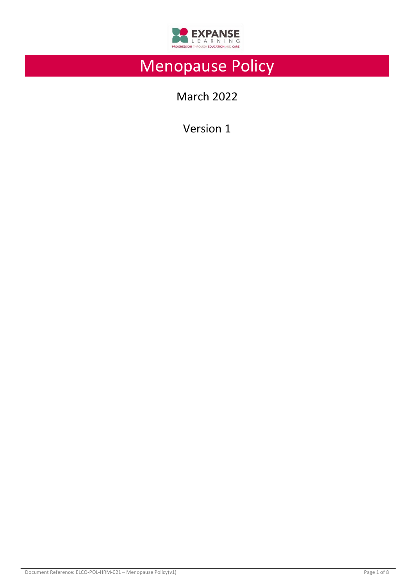

# Menopause Policy

March 2022

Version 1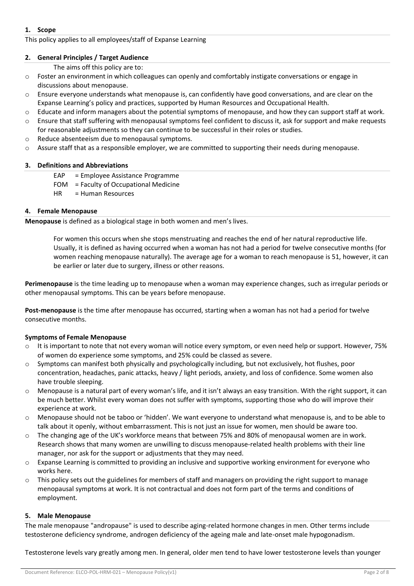### **1. Scope**

#### This policy applies to all employees/staff of Expanse Learning

#### **2. General Principles / Target Audience**

The aims off this policy are to:

- o Foster an environment in which colleagues can openly and comfortably instigate conversations or engage in discussions about menopause.
- o Ensure everyone understands what menopause is, can confidently have good conversations, and are clear on the Expanse Learning's policy and practices, supported by Human Resources and Occupational Health.
- $\circ$  Educate and inform managers about the potential symptoms of menopause, and how they can support staff at work.
- $\circ$  Ensure that staff suffering with menopausal symptoms feel confident to discuss it, ask for support and make requests for reasonable adjustments so they can continue to be successful in their roles or studies.
- o Reduce absenteeism due to menopausal symptoms.
- o Assure staff that as a responsible employer, we are committed to supporting their needs during menopause.

#### **3. Definitions and Abbreviations**

- EAP = Employee Assistance Programme
- FOM = Faculty of Occupational Medicine
- HR = Human Resources

#### **4. Female Menopause**

**Menopause** is defined as a biological stage in both women and men's lives.

For women this occurs when she stops menstruating and reaches the end of her natural reproductive life. Usually, it is defined as having occurred when a woman has not had a period for twelve consecutive months (for women reaching menopause naturally). The average age for a woman to reach menopause is 51, however, it can be earlier or later due to surgery, illness or other reasons.

**Perimenopause** is the time leading up to menopause when a woman may experience changes, such as irregular periods or other menopausal symptoms. This can be years before menopause.

**Post-menopause** is the time after menopause has occurred, starting when a woman has not had a period for twelve consecutive months.

### **Symptoms of Female Menopause**

- o It is important to note that not every woman will notice every symptom, or even need help or support. However, 75% of women do experience some symptoms, and 25% could be classed as severe.
- o Symptoms can manifest both physically and psychologically including, but not exclusively, hot flushes, poor concentration, headaches, panic attacks, heavy / light periods, anxiety, and loss of confidence. Some women also have trouble sleeping.
- $\circ$  Menopause is a natural part of every woman's life, and it isn't always an easy transition. With the right support, it can be much better. Whilst every woman does not suffer with symptoms, supporting those who do will improve their experience at work.
- o Menopause should not be taboo or 'hidden'. We want everyone to understand what menopause is, and to be able to talk about it openly, without embarrassment. This is not just an issue for women, men should be aware too.
- $\circ$  The changing age of the UK's workforce means that between 75% and 80% of menopausal women are in work. Research shows that many women are unwilling to discuss menopause-related health problems with their line manager, nor ask for the support or adjustments that they may need.
- o Expanse Learning is committed to providing an inclusive and supportive working environment for everyone who works here.
- o This policy sets out the guidelines for members of staff and managers on providing the right support to manage menopausal symptoms at work. It is not contractual and does not form part of the terms and conditions of employment.

#### **5. Male Menopause**

The male menopause "andropause" is used to describe aging-related hormone changes in men. Other terms include testosterone deficiency syndrome, androgen deficiency of the ageing male and late-onset male hypogonadism.

Testosterone levels vary greatly among men. In general, older men tend to have lower testosterone levels than younger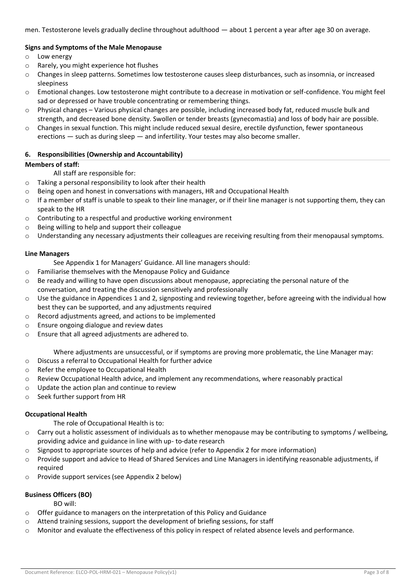men. Testosterone levels gradually decline throughout adulthood — about 1 percent a year after age 30 on average.

## **Signs and Symptoms of the Male Menopause**

- o Low energy
- o Rarely, you might experience hot flushes
- o Changes in sleep patterns. Sometimes low testosterone causes sleep disturbances, such as insomnia, or increased sleepiness
- o Emotional changes. Low testosterone might contribute to a decrease in motivation or self-confidence. You might feel sad or depressed or have trouble concentrating or remembering things.
- $\circ$  Physical changes Various physical changes are possible, including increased body fat, reduced muscle bulk and strength, and decreased bone density. Swollen or tender breasts (gynecomastia) and loss of body hair are possible.
- o Changes in sexual function. This might include reduced sexual desire, erectile dysfunction, fewer spontaneous erections — such as during sleep — and infertility. Your testes may also become smaller.

# **6. Responsibilities (Ownership and Accountability)**

### **Members of staff:**

- All staff are responsible for:
- o Taking a personal responsibility to look after their health
- o Being open and honest in conversations with managers, HR and Occupational Health
- $\circ$  If a member of staff is unable to speak to their line manager, or if their line manager is not supporting them, they can speak to the HR
- o Contributing to a respectful and productive working environment
- o Being willing to help and support their colleague
- o Understanding any necessary adjustments their colleagues are receiving resulting from their menopausal symptoms.

### **Line Managers**

See Appendix 1 for Managers' Guidance. All line managers should:

- o Familiarise themselves with the Menopause Policy and Guidance
- $\circ$  Be ready and willing to have open discussions about menopause, appreciating the personal nature of the conversation, and treating the discussion sensitively and professionally
- $\circ$  Use the guidance in Appendices 1 and 2, signposting and reviewing together, before agreeing with the individual how best they can be supported, and any adjustments required
- o Record adjustments agreed, and actions to be implemented
- o Ensure ongoing dialogue and review dates
- o Ensure that all agreed adjustments are adhered to.

Where adjustments are unsuccessful, or if symptoms are proving more problematic, the Line Manager may:

- o Discuss a referral to Occupational Health for further advice
- o Refer the employee to Occupational Health
- $\circ$  Review Occupational Health advice, and implement any recommendations, where reasonably practical
- o Update the action plan and continue to review
- o Seek further support from HR

### **Occupational Health**

The role of Occupational Health is to:

- $\circ$  Carry out a holistic assessment of individuals as to whether menopause may be contributing to symptoms / wellbeing, providing advice and guidance in line with up- to-date research
- o Signpost to appropriate sources of help and advice (refer to Appendix 2 for more information)
- o Provide support and advice to Head of Shared Services and Line Managers in identifying reasonable adjustments, if required
- o Provide support services (see Appendix 2 below)

# **Business Officers (BO)**

BO will:

- o Offer guidance to managers on the interpretation of this Policy and Guidance
- o Attend training sessions, support the development of briefing sessions, for staff
- o Monitor and evaluate the effectiveness of this policy in respect of related absence levels and performance.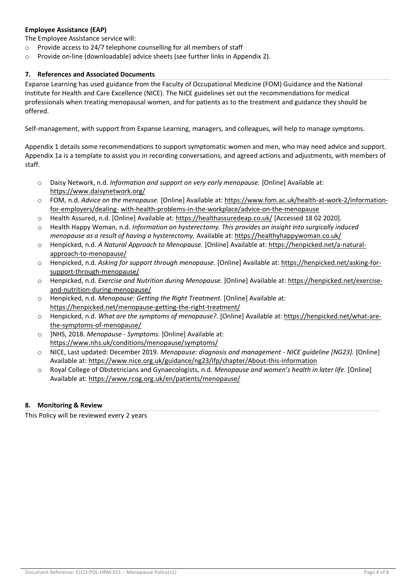# **Employee Assistance (EAP)**

The Employee Assistance service will:

- o Provide access to 24/7 telephone counselling for all members of staff
- o Provide on-line (downloadable) advice sheets (see further links in Appendix 2).

### **7. References and Associated Documents**

Expanse Learning has used guidance from the Faculty of Occupational Medicine (FOM) Guidance and the National Institute for Health and Care Excellence (NICE). The NICE guidelines set out the recommendations for medical professionals when treating menopausal women, and for patients as to the treatment and guidance they should be offered.

Self-management, with support from Expanse Learning, managers, and colleagues, will help to manage symptoms.

Appendix 1 details some recommendations to support symptomatic women and men, who may need advice and support. Appendix 1a is a template to assist you in recording conversations, and agreed actions and adjustments, with members of staff.

- o Daisy Network, n.d. *Information and support on very early menopause.* [Online] Available at: https:/[/www.daisynetwork.org/](http://www.daisynetwork.org/)
- o FOM, n.d. *Advice on the menopause.* [Online] Available at: http[s://www.fom.ac.uk/health-at-work-2/information](http://www.fom.ac.uk/health-at-work-2/information-for-employers/dealing-)[for-employers/dealing-](http://www.fom.ac.uk/health-at-work-2/information-for-employers/dealing-) with-health-problems-in-the-workplace/advice-on-the-menopause
- o Health Assured, n.d. [Online] Available at: https://healthassuredeap.co.uk/ [Accessed 18 02 2020].
- o Health Happy Woman, n.d. *Information on hysterectomy. This provides an insight into surgically induced menopause as a result of having a hysterectomy.* Available at: https://healthyhappywoman.co.uk/
- o Henpicked, n.d. *A Natural Approach to Menopause.* [Online] Available at: https://henpicked.net/a-naturalapproach-to-menopause/
- o Henpicked, n.d. *Asking for support through menopause.* [Online] Available at: https://henpicked.net/asking-forsupport-through-menopause/
- o Henpicked, n.d. *Exercise and Nutrition during Menopause.* [Online] Available at: https://henpicked.net/exerciseand-nutrition-during-menopause/
- o Henpicked, n.d. *Menopause: Getting the Right Treatment.* [Online] Available at: https://henpicked.net/menopause-getting-the-right-treatment/
- o Henpicked, n.d. *What are the symptoms of menopause?.* [Online] Available at: https://henpicked.net/what-arethe-symptoms-of-menopause/
- o ]NHS, 2018. *Menopause - Symptoms.* [Online] Available at: https:/[/www.nhs.uk/conditions/menopause/symptoms/](http://www.nhs.uk/conditions/menopause/symptoms/)
- o NICE, Last updated: December 2019. *Menopause: diagnosis and management - NICE guideline [NG23].* [Online] Available at: https:/[/www.nice.org.uk/guidance/ng23/ifp/chapter/About-this-information](http://www.nice.org.uk/guidance/ng23/ifp/chapter/About-this-information)
- o Royal College of Obstetricians and Gynaecologists, n.d. *Menopause and women's health in later life.* [Online] Available at: https:/[/www.rcog.org.uk/en/patients/menopause/](http://www.rcog.org.uk/en/patients/menopause/)

### **8. Monitoring & Review**

This Policy will be reviewed every 2 years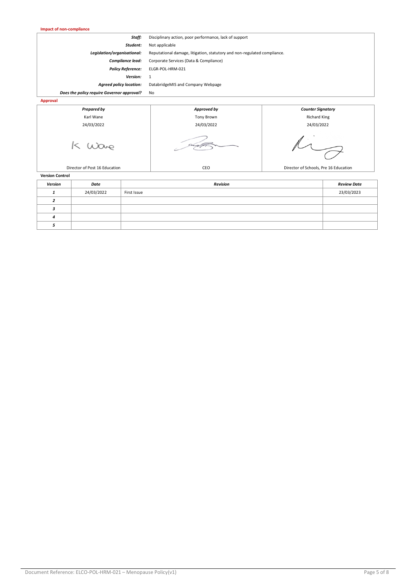| <b>Impact of non-compliance</b>            |                                                                          |                          |  |  |
|--------------------------------------------|--------------------------------------------------------------------------|--------------------------|--|--|
| Staff:                                     | Disciplinary action, poor performance, lack of support                   |                          |  |  |
| Student:                                   | Not applicable                                                           |                          |  |  |
| Legislation/organisational:                | Reputational damage, litigation, statutory and non-regulated compliance. |                          |  |  |
| Compliance lead:                           | Corporate Services (Data & Compliance)                                   |                          |  |  |
| <b>Policy Reference:</b>                   | ELGR-POL-HRM-021                                                         |                          |  |  |
| Version:                                   | 1                                                                        |                          |  |  |
| <b>Agreed policy location:</b>             | DatabridgeMIS and Company Webpage                                        |                          |  |  |
| Does the policy require Governor approval? | No                                                                       |                          |  |  |
| <b>Approval</b>                            |                                                                          |                          |  |  |
| <b>Prepared by</b>                         | Approved by                                                              | <b>Counter Signatory</b> |  |  |
| Karl Wane                                  | <b>Tony Brown</b>                                                        | <b>Richard King</b>      |  |  |
| 24/03/2022                                 | 24/03/2022                                                               | 24/03/2022               |  |  |
|                                            |                                                                          |                          |  |  |

Director of Post 16 Education **CEO** CEO Director of Schools, Pre 16 Education **CEO** Director of Schools, Pre 16 Education

*Version Date Revision Review Date 1* 24/03/2022 First Issue 23/03/2023

**Version Control**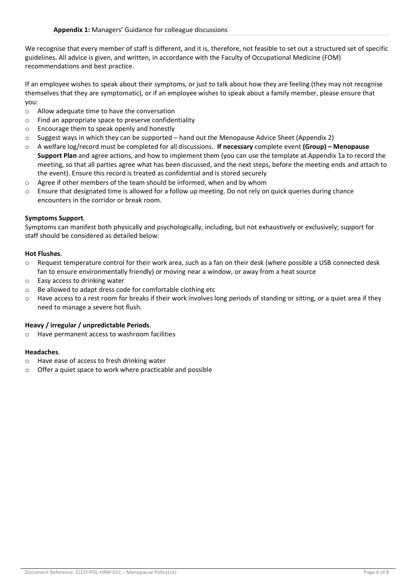We recognise that every member of staff is different, and it is, therefore, not feasible to set out a structured set of specific guidelines. All advice is given, and written, in accordance with the Faculty of Occupational Medicine (FOM) recommendations and best practice.

If an employee wishes to speak about their symptoms, or just to talk about how they are feeling (they may not recognise themselves that they are symptomatic), or if an employee wishes to speak about a family member, please ensure that you:

- o Allow adequate time to have the conversation
- o Find an appropriate space to preserve confidentiality
- o Encourage them to speak openly and honestly
- $\circ$  Suggest ways in which they can be supported hand out the Menopause Advice Sheet (Appendix 2)
- o A welfare log/record must be completed for all discussions. **If necessary** complete event **(Group) – Menopause Support Plan** and agree actions, and how to implement them (you can use the template at Appendix 1a to record the meeting, so that all parties agree what has been discussed, and the next steps, before the meeting ends and attach to the event). Ensure this record is treated as confidential and is stored securely
- o Agree if other members of the team should be informed, when and by whom
- $\circ$  Ensure that designated time is allowed for a follow up meeting. Do not rely on quick queries during chance encounters in the corridor or break room.

#### **Symptoms Support**.

Symptoms can manifest both physically and psychologically, including, but not exhaustively or exclusively; support for staff should be considered as detailed below:

#### **Hot Flushes**.

- o Request temperature control for their work area, such as a fan on their desk (where possible a USB connected desk fan to ensure environmentally friendly) or moving near a window, or away from a heat source
- o Easy access to drinking water
- o Be allowed to adapt dress code for comfortable clothing etc
- $\circ$  Have access to a rest room for breaks if their work involves long periods of standing or sitting, or a quiet area if they need to manage a severe hot flush.

## **Heavy / irregular / unpredictable Periods**.

o Have permanent access to washroom facilities

#### **Headaches**.

- o Have ease of access to fresh drinking water
- o Offer a quiet space to work where practicable and possible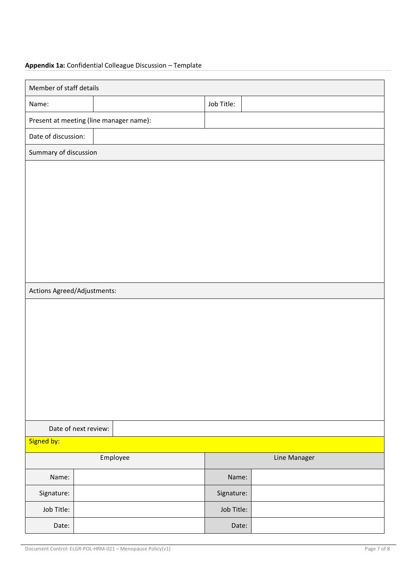# **Appendix 1a:** Confidential Colleague Discussion – Template

| Member of staff details                 |  |  |            |  |  |
|-----------------------------------------|--|--|------------|--|--|
| Name:                                   |  |  | Job Title: |  |  |
| Present at meeting (line manager name): |  |  |            |  |  |
| Date of discussion:                     |  |  |            |  |  |
| Summary of discussion                   |  |  |            |  |  |
|                                         |  |  |            |  |  |
|                                         |  |  |            |  |  |
|                                         |  |  |            |  |  |
|                                         |  |  |            |  |  |
|                                         |  |  |            |  |  |
|                                         |  |  |            |  |  |
|                                         |  |  |            |  |  |
|                                         |  |  |            |  |  |
| Actions Agreed/Adjustments:             |  |  |            |  |  |
|                                         |  |  |            |  |  |
|                                         |  |  |            |  |  |
|                                         |  |  |            |  |  |
|                                         |  |  |            |  |  |
|                                         |  |  |            |  |  |
|                                         |  |  |            |  |  |
|                                         |  |  |            |  |  |
| Date of next review:                    |  |  |            |  |  |
| Signed by:                              |  |  |            |  |  |
| Employee<br>Line Manager                |  |  |            |  |  |
| Name:                                   |  |  | Name:      |  |  |
| Signature:                              |  |  | Signature: |  |  |
| Job Title:                              |  |  | Job Title: |  |  |
| Date:                                   |  |  | Date:      |  |  |